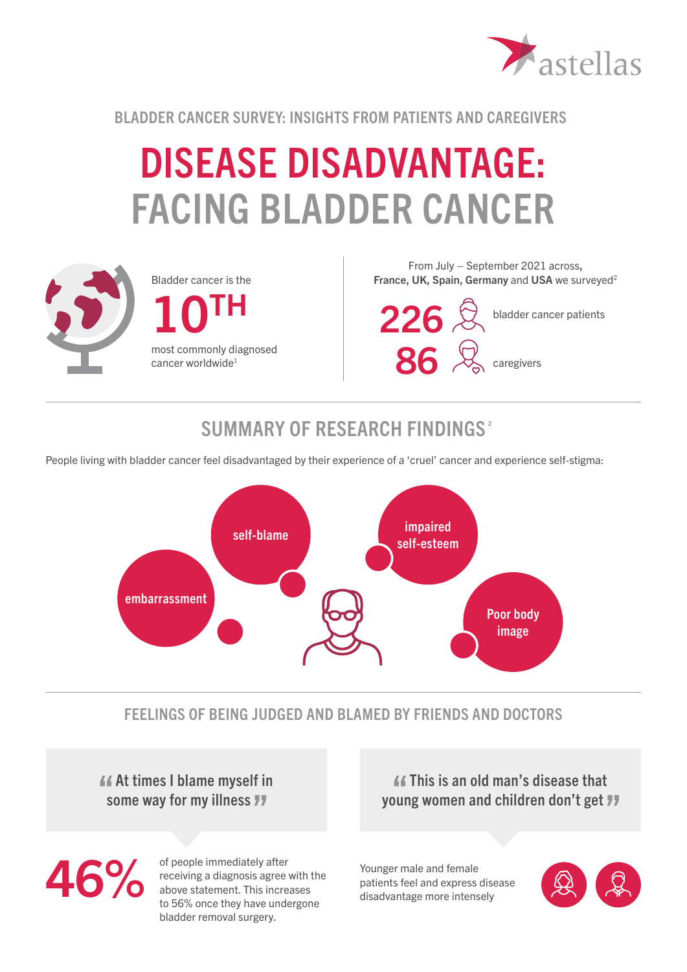

BLADDER CANCER SURVEY: INSIGHTS FROM PATIENTS AND CAREGIVERS

# DISEASE DISADVANTAGE: FACING BLADDER CANCER



From July – September 2021 across, France, UK, Spain, Germany and USA we surveyed<sup>2</sup>

226 & bladder cancer patients 86 <sup>Q</sup> caregivers

## SUMMARY OF RESEARCH FINDINGS<sup>2</sup>

People living with bladder cancer feel disadvantaged by their experience of a 'cruel' cancer and experience self-stigma:



#### FEELINGS OF BEING JUDGED AND BLAMED BY FRIENDS AND DOCTORS

 At times I blame myself in some way for my illness **77** 

46%

of people immediately after receiving a diagnosis agree with the above statement. This increases to 56% once they have undergone bladder removal surgery.

 This is an old man's disease that young women and children don't get

Younger male and female patients feel and express disease disadvantage more intensely